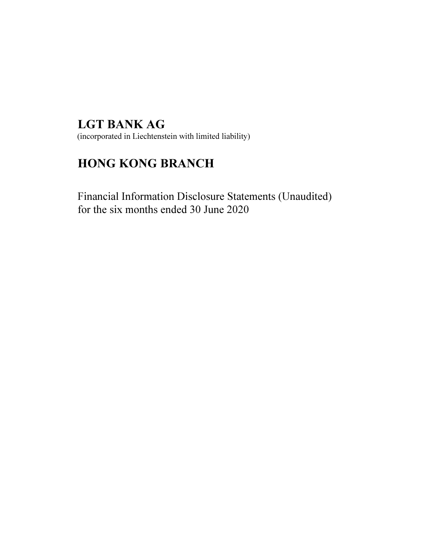# LGT BANK AG

(incorporated in Liechtenstein with limited liability)

# HONG KONG BRANCH

Financial Information Disclosure Statements (Unaudited) for the six months ended 30 June 2020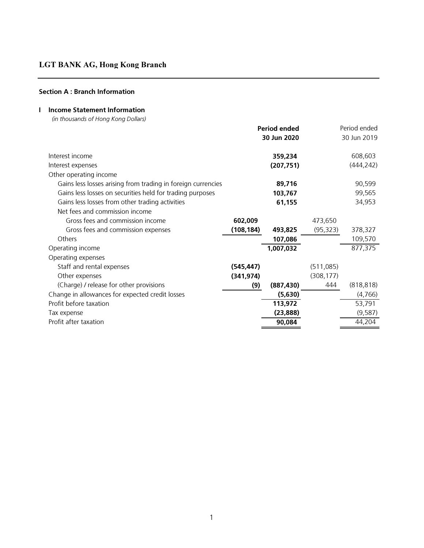### Section A : Branch Information

#### I Income Statement Information

(in thousands of Hong Kong Dollars)

|                                                              |            | <b>Period ended</b> |            | Period ended |
|--------------------------------------------------------------|------------|---------------------|------------|--------------|
|                                                              |            | 30 Jun 2020         |            | 30 Jun 2019  |
| Interest income                                              |            | 359,234             |            | 608,603      |
| Interest expenses                                            |            | (207, 751)          |            | (444, 242)   |
| Other operating income                                       |            |                     |            |              |
| Gains less losses arising from trading in foreign currencies |            | 89,716              |            | 90,599       |
| Gains less losses on securities held for trading purposes    |            | 103,767             |            | 99,565       |
| Gains less losses from other trading activities              |            | 61,155              |            | 34,953       |
| Net fees and commission income                               |            |                     |            |              |
| Gross fees and commission income                             | 602,009    |                     | 473,650    |              |
| Gross fees and commission expenses                           | (108, 184) | 493,825             | (95, 323)  | 378,327      |
| Others                                                       |            | 107,086             |            | 109,570      |
| Operating income                                             |            | 1,007,032           |            | 877,375      |
| Operating expenses                                           |            |                     |            |              |
| Staff and rental expenses                                    | (545, 447) |                     | (511,085)  |              |
| Other expenses                                               | (341, 974) |                     | (308, 177) |              |
| (Charge) / release for other provisions                      | (9)        | (887, 430)          | 444        | (818, 818)   |
| Change in allowances for expected credit losses              |            | (5,630)             |            | (4,766)      |
| Profit before taxation                                       |            | 113,972             |            | 53,791       |
| Tax expense                                                  |            | (23, 888)           |            | (9,587)      |
| Profit after taxation                                        |            | 90,084              |            | 44,204       |
|                                                              |            |                     |            |              |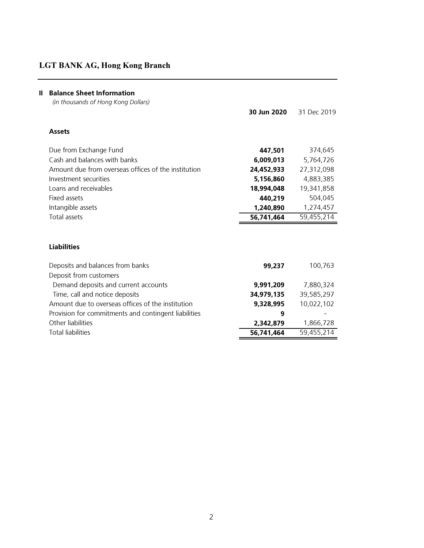## II Balance Sheet Information

| (in thousands of Hong Kong Dollars)                  |             |             |
|------------------------------------------------------|-------------|-------------|
|                                                      | 30 Jun 2020 | 31 Dec 2019 |
| <b>Assets</b>                                        |             |             |
| Due from Exchange Fund                               | 447,501     | 374,645     |
| Cash and balances with banks                         | 6,009,013   | 5,764,726   |
| Amount due from overseas offices of the institution  | 24,452,933  | 27,312,098  |
| Investment securities                                | 5,156,860   | 4,883,385   |
| Loans and receivables                                | 18,994,048  | 19,341,858  |
| <b>Fixed assets</b>                                  | 440,219     | 504,045     |
| Intangible assets                                    | 1,240,890   | 1,274,457   |
| <b>Total assets</b>                                  | 56,741,464  | 59,455,214  |
|                                                      |             |             |
| <b>Liabilities</b>                                   |             |             |
| Deposits and balances from banks                     | 99,237      | 100,763     |
| Deposit from customers                               |             |             |
| Demand deposits and current accounts                 | 9,991,209   | 7,880,324   |
| Time, call and notice deposits                       | 34,979,135  | 39,585,297  |
| Amount due to overseas offices of the institution    | 9,328,995   | 10,022,102  |
| Provision for commitments and contingent liabilities | 9           |             |
| Other liabilities                                    | 2,342,879   | 1,866,728   |
| <b>Total liabilities</b>                             | 56,741,464  | 59,455,214  |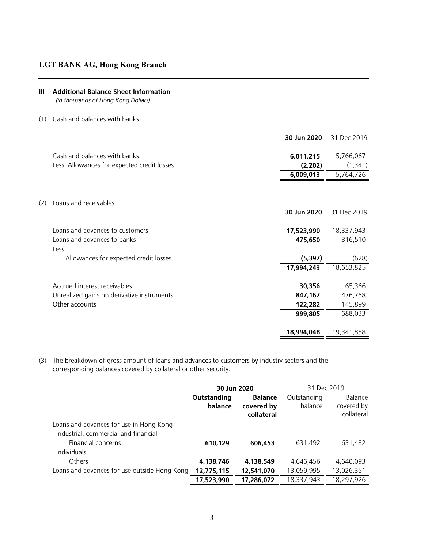#### III Additional Balance Sheet Information

(in thousands of Hong Kong Dollars)

(1) Cash and balances with banks

|     |                                             | 30 Jun 2020 | 31 Dec 2019 |
|-----|---------------------------------------------|-------------|-------------|
|     | Cash and balances with banks                | 6,011,215   | 5,766,067   |
|     | Less: Allowances for expected credit losses | (2,202)     | (1, 341)    |
|     |                                             | 6,009,013   | 5,764,726   |
|     |                                             |             |             |
|     |                                             |             |             |
| (2) | Loans and receivables                       | 30 Jun 2020 | 31 Dec 2019 |
|     |                                             |             |             |
|     | Loans and advances to customers             | 17,523,990  | 18,337,943  |
|     | Loans and advances to banks                 | 475,650     | 316,510     |
|     | Less:                                       |             |             |
|     | Allowances for expected credit losses       | (5, 397)    | (628)       |
|     |                                             | 17,994,243  | 18,653,825  |
|     | Accrued interest receivables                | 30,356      | 65,366      |
|     | Unrealized gains on derivative instruments  | 847,167     | 476,768     |
|     | Other accounts                              | 122,282     | 145,899     |
|     |                                             | 999,805     | 688,033     |
|     |                                             |             |             |
|     |                                             | 18,994,048  | 19,341,858  |

(3) The breakdown of gross amount of loans and advances to customers by industry sectors and the corresponding balances covered by collateral or other security:

|                                                                                 | 30 Jun 2020            |                                            | 31 Dec 2019            |                                     |  |
|---------------------------------------------------------------------------------|------------------------|--------------------------------------------|------------------------|-------------------------------------|--|
|                                                                                 | Outstanding<br>balance | <b>Balance</b><br>covered by<br>collateral | Outstanding<br>balance | Balance<br>covered by<br>collateral |  |
| Loans and advances for use in Hong Kong<br>Industrial, commercial and financial |                        |                                            |                        |                                     |  |
| Financial concerns<br><b>Individuals</b>                                        | 610,129                | 606,453                                    | 631,492                | 631,482                             |  |
| <b>Others</b>                                                                   | 4,138,746              | 4,138,549                                  | 4,646,456              | 4,640,093                           |  |
| Loans and advances for use outside Hong Kong                                    | 12,775,115             | 12,541,070                                 | 13,059,995             | 13,026,351                          |  |
|                                                                                 | 17,523,990             | 17,286,072                                 | 18,337,943             | 18,297,926                          |  |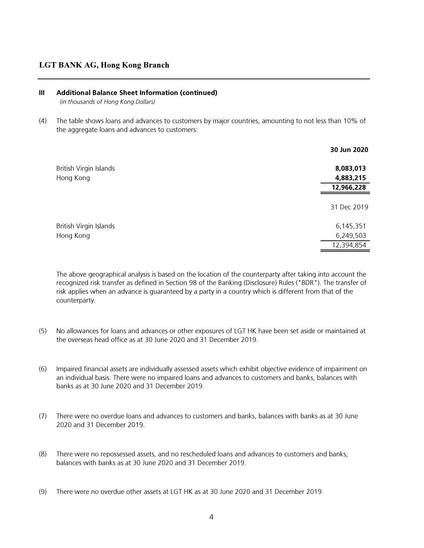#### III Additional Balance Sheet Information (continued)

(in thousands of Hong Kong Dollars)

(4) The table shows loans and advances to customers by major countries, amounting to not less than 10% of the aggregate loans and advances to customers:

|                        | 30 Jun 2020 |
|------------------------|-------------|
| British Virgin Islands | 8,083,013   |
| Hong Kong              | 4,883,215   |
|                        | 12,966,228  |
|                        | 31 Dec 2019 |
| British Virgin Islands | 6,145,351   |
| Hong Kong              | 6,249,503   |
|                        | 12,394,854  |

The above geographical analysis is based on the location of the counterparty after taking into account the recognized risk transfer as defined in Section 98 of the Banking (Disclosure) Rules ("BDR"). The transfer of risk applies when an advance is guaranteed by a party in a country which is different from that of the counterparty.

- (5) No allowances for loans and advances or other exposures of LGT HK have been set aside or maintained at the overseas head office as at 30 June 2020 and 31 December 2019.
- (6) Impaired financial assets are individually assessed assets which exhibit objective evidence of impairment on an individual basis. There were no impaired loans and advances to customers and banks, balances with banks as at 30 June 2020 and 31 December 2019.
- (7) There were no overdue loans and advances to customers and banks, balances with banks as at 30 June 2020 and 31 December 2019.
- (8) There were no repossessed assets, and no rescheduled loans and advances to customers and banks, balances with banks as at 30 June 2020 and 31 December 2019.
- (9) There were no overdue other assets at LGT HK as at 30 June 2020 and 31 December 2019.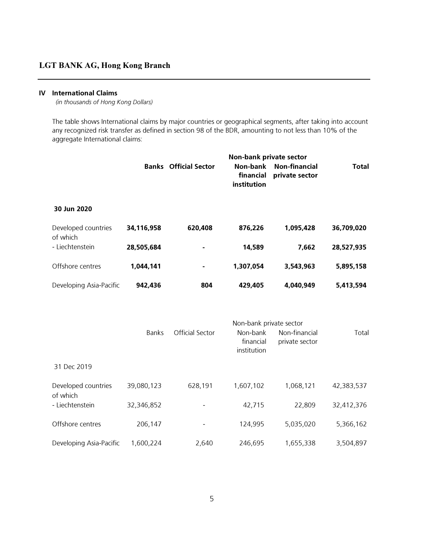#### IV International Claims

(in thousands of Hong Kong Dollars)

The table shows International claims by major countries or geographical segments, after taking into account any recognized risk transfer as defined in section 98 of the BDR, amounting to not less than 10% of the aggregate International claims:

|                                 |              |                              | Non-bank private sector              |                                        |              |
|---------------------------------|--------------|------------------------------|--------------------------------------|----------------------------------------|--------------|
|                                 |              | <b>Banks</b> Official Sector | Non-bank<br>financial<br>institution | <b>Non-financial</b><br>private sector | <b>Total</b> |
| 30 Jun 2020                     |              |                              |                                      |                                        |              |
| Developed countries<br>of which | 34,116,958   | 620,408                      | 876,226                              | 1,095,428                              | 36,709,020   |
| - Liechtenstein                 | 28,505,684   |                              | 14,589                               | 7,662                                  | 28,527,935   |
| Offshore centres                | 1,044,141    |                              | 1,307,054                            | 3,543,963                              | 5,895,158    |
| Developing Asia-Pacific         | 942,436      | 804                          | 429,405                              | 4,040,949                              | 5,413,594    |
|                                 |              |                              | Non-bank private sector              |                                        |              |
|                                 | <b>Banks</b> | <b>Official Sector</b>       | Non-bank<br>financial<br>institution | Non-financial<br>private sector        | Total        |
| 31 Dec 2019                     |              |                              |                                      |                                        |              |
| Developed countries<br>of which | 39,080,123   | 628,191                      | 1,607,102                            | 1,068,121                              | 42,383,537   |
| - Liechtenstein                 | 32,346,852   |                              | 42,715                               | 22,809                                 | 32,412,376   |
| Offshore centres                | 206,147      |                              | 124,995                              | 5,035,020                              | 5,366,162    |
| Developing Asia-Pacific         | 1,600,224    | 2,640                        | 246,695                              | 1,655,338                              | 3,504,897    |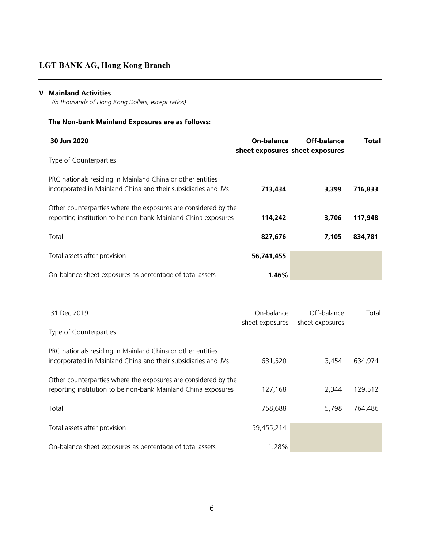### V Mainland Activities

(in thousands of Hong Kong Dollars, except ratios)

## The Non-bank Mainland Exposures are as follows:

| 30 Jun 2020                                                                                                                     | On-balance<br>sheet exposures sheet exposures | Off-balance | <b>Total</b> |
|---------------------------------------------------------------------------------------------------------------------------------|-----------------------------------------------|-------------|--------------|
| Type of Counterparties                                                                                                          |                                               |             |              |
| PRC nationals residing in Mainland China or other entities<br>incorporated in Mainland China and their subsidiaries and JVs     | 713,434                                       | 3,399       | 716,833      |
| Other counterparties where the exposures are considered by the<br>reporting institution to be non-bank Mainland China exposures | 114,242                                       | 3,706       | 117,948      |
| Total                                                                                                                           | 827,676                                       | 7,105       | 834,781      |
| Total assets after provision                                                                                                    | 56,741,455                                    |             |              |
| On-balance sheet exposures as percentage of total assets                                                                        | 1.46%                                         |             |              |

| 31 Dec 2019                                                                                                                     | On-balance<br>sheet exposures | Off-balance<br>sheet exposures | Total   |
|---------------------------------------------------------------------------------------------------------------------------------|-------------------------------|--------------------------------|---------|
| Type of Counterparties                                                                                                          |                               |                                |         |
| PRC nationals residing in Mainland China or other entities<br>incorporated in Mainland China and their subsidiaries and JVs     | 631,520                       | 3.454                          | 634,974 |
| Other counterparties where the exposures are considered by the<br>reporting institution to be non-bank Mainland China exposures | 127,168                       | 2.344                          | 129,512 |
| Total                                                                                                                           | 758,688                       | 5.798                          | 764,486 |
| Total assets after provision                                                                                                    | 59,455,214                    |                                |         |
| On-balance sheet exposures as percentage of total assets                                                                        | 1.28%                         |                                |         |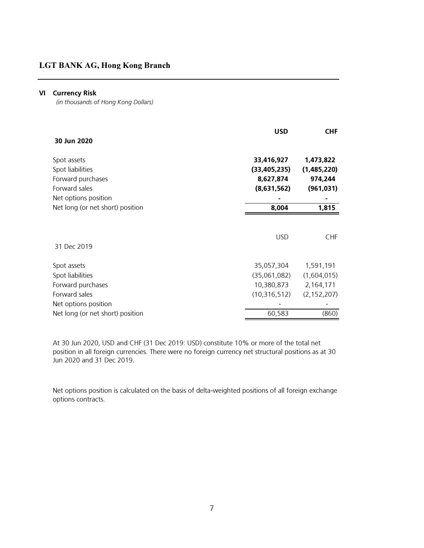#### VI Currency Risk

(in thousands of Hong Kong Dollars)

| 30 Jun 2020                                                                                   | <b>USD</b>                                               | <b>CHF</b>                                        |
|-----------------------------------------------------------------------------------------------|----------------------------------------------------------|---------------------------------------------------|
| Spot assets<br>Spot liabilities<br>Forward purchases<br>Forward sales<br>Net options position | 33,416,927<br>(33, 405, 235)<br>8,627,874<br>(8,631,562) | 1,473,822<br>(1,485,220)<br>974,244<br>(961, 031) |
| Net long (or net short) position                                                              | 8,004                                                    | 1,815                                             |
| 31 Dec 2019                                                                                   | <b>USD</b>                                               | <b>CHF</b>                                        |
| Spot assets                                                                                   | 35,057,304                                               | 1,591,191                                         |
| Spot liabilities                                                                              | (35,061,082)                                             | (1,604,015)                                       |
| Forward purchases                                                                             | 10,380,873                                               | 2,164,171                                         |
| Forward sales                                                                                 | (10, 316, 512)                                           | (2, 152, 207)                                     |
| Net options position                                                                          |                                                          |                                                   |
| Net long (or net short) position                                                              | 60,583                                                   | (860)                                             |

At 30 Jun 2020, USD and CHF (31 Dec 2019: USD) constitute 10% or more of the total net position in all foreign currencies. There were no foreign currency net structural positions as at 30 Jun 2020 and 31 Dec 2019.

Net options position is calculated on the basis of delta-weighted positions of all foreign exchange options contracts.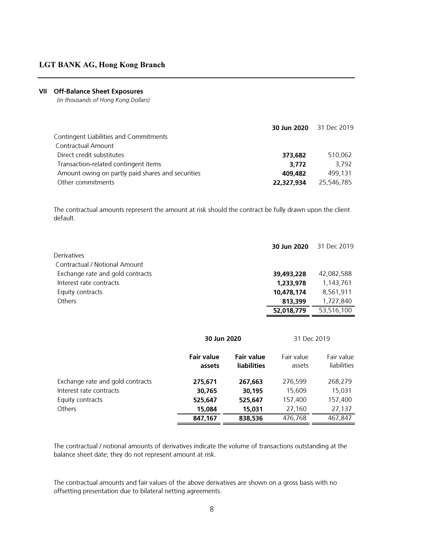#### VII Off-Balance Sheet Exposures

(in thousands of Hong Kong Dollars)

|                                                   |            | <b>30 Jun 2020</b> 31 Dec 2019 |
|---------------------------------------------------|------------|--------------------------------|
| Contingent Liabilities and Commitments            |            |                                |
| <b>Contractual Amount</b>                         |            |                                |
| Direct credit substitutes                         | 373,682    | 510,062                        |
| Transaction-related contingent items              | 3,772      | 3.792                          |
| Amount owing on partly paid shares and securities | 409,482    | 499.131                        |
| Other commitments                                 | 22,327,934 | 25,546,785                     |
|                                                   |            |                                |

The contractual amounts represent the amount at risk should the contract be fully drawn upon the client default.

|                                  | 30 Jun 2020 | 31 Dec 2019 |
|----------------------------------|-------------|-------------|
| <b>Derivatives</b>               |             |             |
| Contractual / Notional Amount    |             |             |
| Exchange rate and gold contracts | 39,493,228  | 42,082,588  |
| Interest rate contracts          | 1,233,978   | 1,143,761   |
| Equity contracts                 | 10,478,174  | 8.561.911   |
| <b>Others</b>                    | 813,399     | 1,727,840   |
|                                  | 52,018,779  | 53,516,100  |

|                                  | 30 Jun 2020                 |                                         |                      | 31 Dec 2019               |  |
|----------------------------------|-----------------------------|-----------------------------------------|----------------------|---------------------------|--|
|                                  | <b>Fair value</b><br>assets | <b>Fair value</b><br><b>liabilities</b> | Fair value<br>assets | Fair value<br>liabilities |  |
| Exchange rate and gold contracts | 275,671                     | 267,663                                 | 276,599              | 268,279                   |  |
| Interest rate contracts          | 30,765                      | 30,195                                  | 15,609               | 15,031                    |  |
| Equity contracts                 | 525,647                     | 525,647                                 | 157,400              | 157,400                   |  |
| Others                           | 15,084                      | 15,031                                  | 27,160               | 27,137                    |  |
|                                  | 847,167                     | 838,536                                 | 476,768              | 467,847                   |  |

The contractual / notional amounts of derivatives indicate the volume of transactions outstanding at the balance sheet date; they do not represent amount at risk.

The contractual amounts and fair values of the above derivatives are shown on a gross basis with no offsetting presentation due to bilateral netting agreements.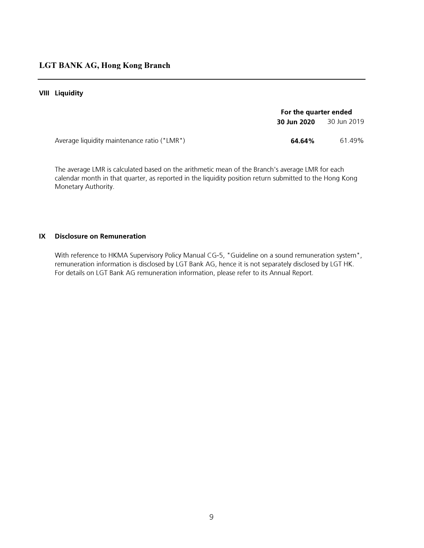#### VIII Liquidity

|                                             | For the quarter ended |             |
|---------------------------------------------|-----------------------|-------------|
|                                             | 30 Jun 2020           | 30 Jun 2019 |
| Average liquidity maintenance ratio ("LMR") | 64.64%                | 61.49%      |

The average LMR is calculated based on the arithmetic mean of the Branch's average LMR for each calendar month in that quarter, as reported in the liquidity position return submitted to the Hong Kong Monetary Authority.

#### IX Disclosure on Remuneration

With reference to HKMA Supervisory Policy Manual CG-5, "Guideline on a sound remuneration system", remuneration information is disclosed by LGT Bank AG, hence it is not separately disclosed by LGT HK. For details on LGT Bank AG remuneration information, please refer to its Annual Report.